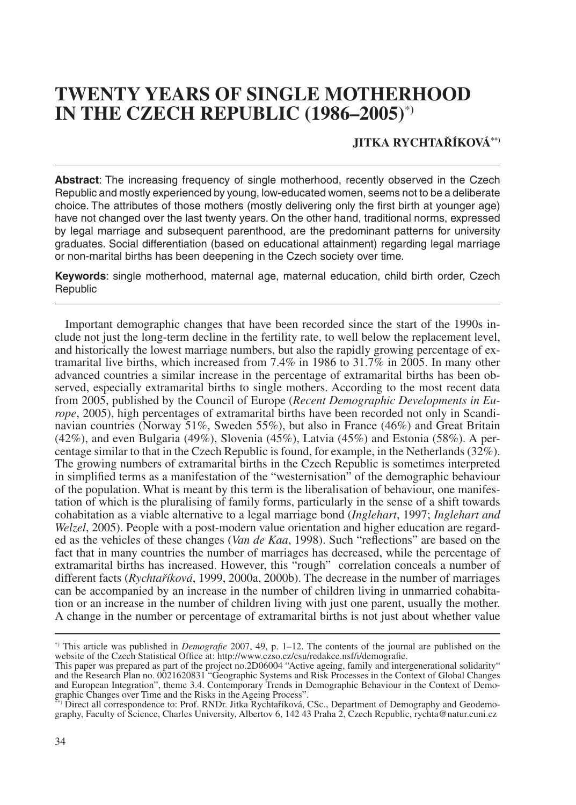# **TWENTY YEARS OF SINGLE MOTHERHOOD IN THE CZECH REPUBLIC (1986–2005)**\***)**

## **JITKA RYCHTAŘÍKOVÁ\*\*)**

**Abstract**: The increasing frequency of single motherhood, recently observed in the Czech Republic and mostly experienced by young, low-educated women, seems not to be a deliberate choice. The attributes of those mothers (mostly delivering only the first birth at younger age) have not changed over the last twenty years. On the other hand, traditional norms, expressed by legal marriage and subsequent parenthood, are the predominant patterns for university graduates. Social differentiation (based on educational attainment) regarding legal marriage or non-marital births has been deepening in the Czech society over time.

**Keywords**: single motherhood, maternal age, maternal education, child birth order, Czech **Republic** 

Important demographic changes that have been recorded since the start of the 1990s include not just the long-term decline in the fertility rate, to well below the replacement level, and historically the lowest marriage numbers, but also the rapidly growing percentage of extramarital live births, which increased from 7.4% in 1986 to 31.7% in 2005. In many other advanced countries a similar increase in the percentage of extramarital births has been observed, especially extramarital births to single mothers. According to the most recent data from 2005, published by the Council of Europe (*Recent Demographic Developments in Europe*, 2005), high percentages of extramarital births have been recorded not only in Scandinavian countries (Norway 51%, Sweden 55%), but also in France (46%) and Great Britain (42%), and even Bulgaria (49%), Slovenia (45%), Latvia (45%) and Estonia (58%). A percentage similar to that in the Czech Republic is found, for example, in the Netherlands (32%). The growing numbers of extramarital births in the Czech Republic is sometimes interpreted in simplified terms as a manifestation of the "westernisation" of the demographic behaviour of the population. What is meant by this term is the liberalisation of behaviour, one manifestation of which is the pluralising of family forms, particularly in the sense of a shift towards cohabitation as a viable alternative to a legal marriage bond (*Inglehart*, 1997; *Inglehart and Welzel*, 2005). People with a post-modern value orientation and higher education are regarded as the vehicles of these changes (*Van de Kaa*, 1998). Such "reflections" are based on the fact that in many countries the number of marriages has decreased, while the percentage of extramarital births has increased. However, this "rough" correlation conceals a number of different facts (*Rychtaříková*, 1999, 2000a, 2000b). The decrease in the number of marriages can be accompanied by an increase in the number of children living in unmarried cohabitation or an increase in the number of children living with just one parent, usually the mother. A change in the number or percentage of extramarital births is not just about whether value

<sup>\*)</sup> This article was published in *Demografie* 2007, 49, p. 1–12. The contents of the journal are published on the website of the Czech Statistical Office at: http://www.czso.cz/csu/redakce.nsf/i/demografie.

This paper was prepared as part of the project no.2D06004 "Active ageing, family and intergenerational solidarity" and the Research Plan no. 0021620831 "Geographic Systems and Risk Processes in the Context of Global Changes and European Integration", theme 3.4. Contemporary Trends in Demographic Behaviour in the Context of Demographic Changes over Time and the Risks in the Ageing Process". \*\*) Direct all correspondence to: Prof. RNDr. Jitka Rychtaříková, CSc., Department of Demography and Geodemo-

graphy, Faculty of Science, Charles University, Albertov 6, 142 43 Praha 2, Czech Republic, rychta@natur.cuni.cz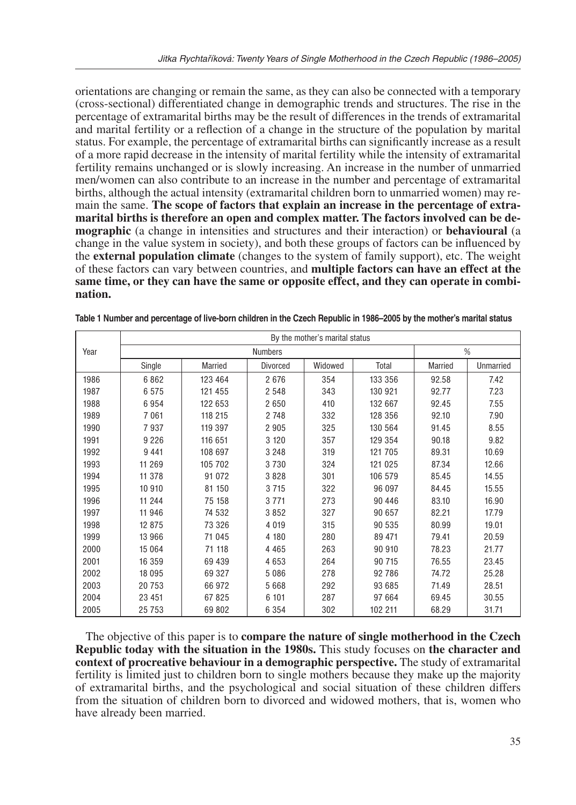orientations are changing or remain the same, as they can also be connected with a temporary (cross-sectional) differentiated change in demographic trends and structures. The rise in the percentage of extramarital births may be the result of differences in the trends of extramarital and marital fertility or a reflection of a change in the structure of the population by marital status. For example, the percentage of extramarital births can significantly increase as a result of a more rapid decrease in the intensity of marital fertility while the intensity of extramarital fertility remains unchanged or is slowly increasing. An increase in the number of unmarried men/women can also contribute to an increase in the number and percentage of extramarital births, although the actual intensity (extramarital children born to unmarried women) may remain the same. **The scope of factors that explain an increase in the percentage of extramarital births is therefore an open and complex matter. The factors involved can be demographic** (a change in intensities and structures and their interaction) or **behavioural** (a change in the value system in society), and both these groups of factors can be influenced by the **external population climate** (changes to the system of family support), etc. The weight of these factors can vary between countries, and **multiple factors can have an effect at the same time, or they can have the same or opposite effect, and they can operate in combination.**

|      | By the mother's marital status |         |          |         |         |         |           |  |
|------|--------------------------------|---------|----------|---------|---------|---------|-----------|--|
| Year |                                |         | %        |         |         |         |           |  |
|      | Single                         | Married | Divorced | Widowed | Total   | Married | Unmarried |  |
| 1986 | 6862                           | 123 464 | 2676     | 354     | 133 356 | 92.58   | 7.42      |  |
| 1987 | 6575                           | 121 455 | 2 5 4 8  | 343     | 130 921 | 92.77   | 7.23      |  |
| 1988 | 6954                           | 122 653 | 2650     | 410     | 132 667 | 92.45   | 7.55      |  |
| 1989 | 7061                           | 118 215 | 2 748    | 332     | 128 356 | 92.10   | 7.90      |  |
| 1990 | 7937                           | 119 397 | 2 9 0 5  | 325     | 130 564 | 91.45   | 8.55      |  |
| 1991 | 9 2 2 6                        | 116 651 | 3 1 2 0  | 357     | 129 354 | 90.18   | 9.82      |  |
| 1992 | 9 4 4 1                        | 108 697 | 3 2 4 8  | 319     | 121 705 | 89.31   | 10.69     |  |
| 1993 | 11 269                         | 105 702 | 3730     | 324     | 121 025 | 87.34   | 12.66     |  |
| 1994 | 11 378                         | 91 072  | 3828     | 301     | 106 579 | 85.45   | 14.55     |  |
| 1995 | 10 910                         | 81 150  | 3 7 1 5  | 322     | 96 097  | 84.45   | 15.55     |  |
| 1996 | 11 244                         | 75 158  | 3771     | 273     | 90 446  | 83.10   | 16.90     |  |
| 1997 | 11 946                         | 74 532  | 3852     | 327     | 90 657  | 82.21   | 17.79     |  |
| 1998 | 12 875                         | 73 326  | 4 0 1 9  | 315     | 90 535  | 80.99   | 19.01     |  |
| 1999 | 13 966                         | 71 045  | 4 180    | 280     | 89 471  | 79.41   | 20.59     |  |
| 2000 | 15 0 64                        | 71 118  | 4 4 6 5  | 263     | 90 910  | 78.23   | 21.77     |  |
| 2001 | 16 359                         | 69 439  | 4 6 5 3  | 264     | 90 715  | 76.55   | 23.45     |  |
| 2002 | 18 095                         | 69 327  | 5 0 8 6  | 278     | 92 786  | 74.72   | 25.28     |  |
| 2003 | 20753                          | 66 972  | 5668     | 292     | 93 685  | 71.49   | 28.51     |  |
| 2004 | 23 4 51                        | 67 825  | 6 101    | 287     | 97 664  | 69.45   | 30.55     |  |
| 2005 | 25 7 53                        | 69 802  | 6 3 5 4  | 302     | 102 211 | 68.29   | 31.71     |  |

**Table 1 Number and percentage of live-born children in the Czech Republic in 1986–2005 by the mother's marital status**

The objective of this paper is to **compare the nature of single motherhood in the Czech Republic today with the situation in the 1980s.** This study focuses on **the character and context of procreative behaviour in a demographic perspective.** The study of extramarital fertility is limited just to children born to single mothers because they make up the majority of extramarital births, and the psychological and social situation of these children differs from the situation of children born to divorced and widowed mothers, that is, women who have already been married.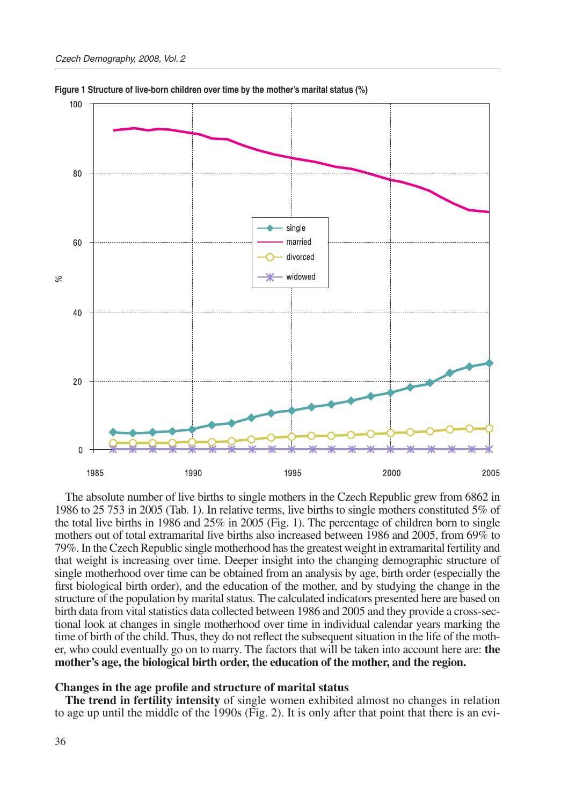

**Figure 1 Structure of live-born children over time by the mother's marital status (%)**

The absolute number of live births to single mothers in the Czech Republic grew from 6862 in 1986 to 25 753 in 2005 (Tab. 1). In relative terms, live births to single mothers constituted 5% of the total live births in 1986 and 25% in 2005 (Fig. 1). The percentage of children born to single mothers out of total extramarital live births also increased between 1986 and 2005, from 69% to 79%. In the Czech Republic single motherhood has the greatest weight in extramarital fertility and that weight is increasing over time. Deeper insight into the changing demographic structure of single motherhood over time can be obtained from an analysis by age, birth order (especially the first biological birth order), and the education of the mother, and by studying the change in the structure of the population by marital status. The calculated indicators presented here are based on birth data from vital statistics data collected between 1986 and 2005 and they provide a cross-sectional look at changes in single motherhood over time in individual calendar years marking the time of birth of the child. Thus, they do not reflect the subsequent situation in the life of the mother, who could eventually go on to marry. The factors that will be taken into account here are: **the mother's age, the biological birth order, the education of the mother, and the region.** 

#### **Changes in the age profile and structure of marital status**

**The trend in fertility intensity** of single women exhibited almost no changes in relation to age up until the middle of the 1990s (Fig. 2). It is only after that point that there is an evi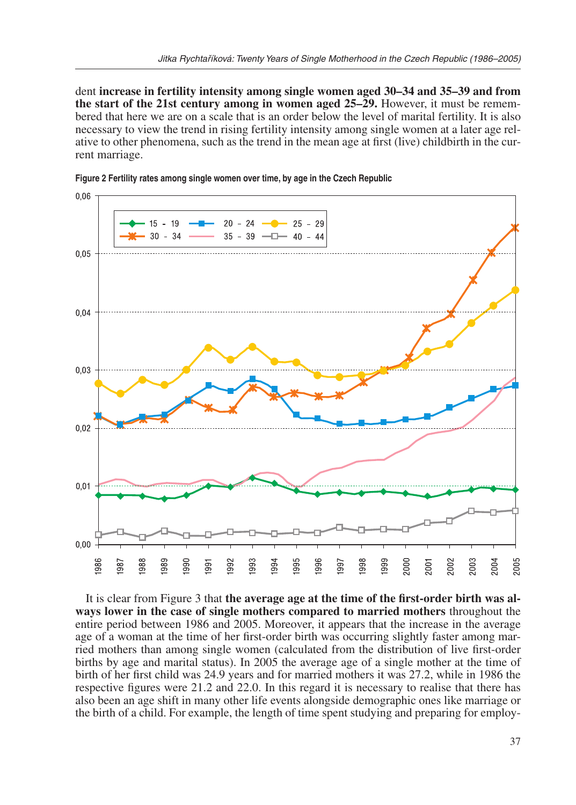dent **increase in fertility intensity among single women aged 30–34 and 35–39 and from the start of the 21st century among in women aged 25–29.** However, it must be remembered that here we are on a scale that is an order below the level of marital fertility. It is also necessary to view the trend in rising fertility intensity among single women at a later age relative to other phenomena, such as the trend in the mean age at first (live) childbirth in the current marriage.



**Figure 2 Fertility rates among single women over time, by age in the Czech Republic**

It is clear from Figure 3 that **the average age at the time of the first-order birth was always lower in the case of single mothers compared to married mothers** throughout the entire period between 1986 and 2005. Moreover, it appears that the increase in the average age of a woman at the time of her first-order birth was occurring slightly faster among married mothers than among single women (calculated from the distribution of live first-order births by age and marital status). In 2005 the average age of a single mother at the time of birth of her first child was 24.9 years and for married mothers it was 27.2, while in 1986 the respective figures were 21.2 and 22.0. In this regard it is necessary to realise that there has also been an age shift in many other life events alongside demographic ones like marriage or the birth of a child. For example, the length of time spent studying and preparing for employ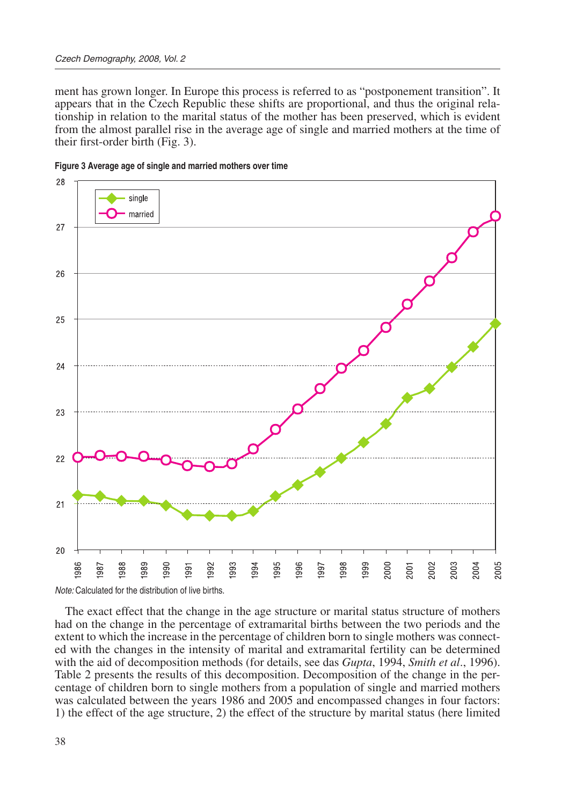ment has grown longer. In Europe this process is referred to as "postponement transition". It appears that in the Czech Republic these shifts are proportional, and thus the original relationship in relation to the marital status of the mother has been preserved, which is evident from the almost parallel rise in the average age of single and married mothers at the time of their first-order birth (Fig. 3).





The exact effect that the change in the age structure or marital status structure of mothers had on the change in the percentage of extramarital births between the two periods and the extent to which the increase in the percentage of children born to single mothers was connected with the changes in the intensity of marital and extramarital fertility can be determined with the aid of decomposition methods (for details, see das *Gupta*, 1994, *Smith et al*., 1996). Table 2 presents the results of this decomposition. Decomposition of the change in the percentage of children born to single mothers from a population of single and married mothers was calculated between the years 1986 and 2005 and encompassed changes in four factors: 1) the effect of the age structure, 2) the effect of the structure by marital status (here limited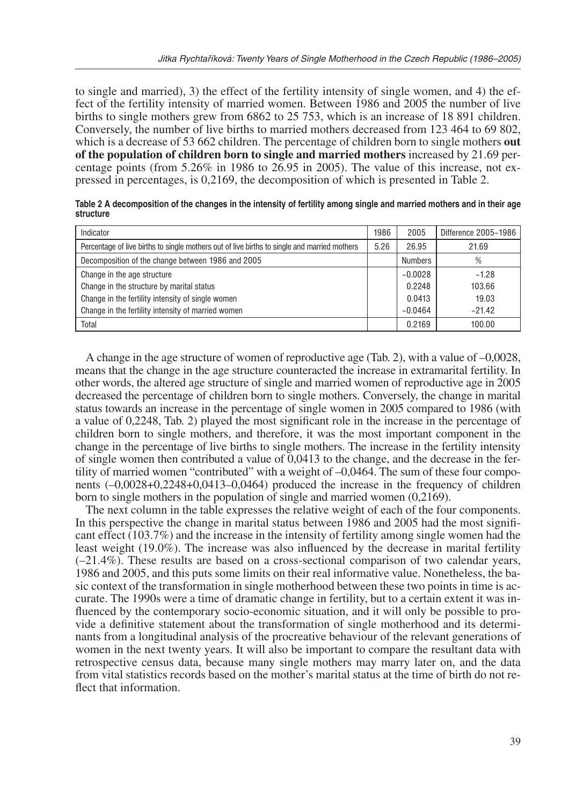to single and married), 3) the effect of the fertility intensity of single women, and 4) the effect of the fertility intensity of married women. Between 1986 and 2005 the number of live births to single mothers grew from 6862 to 25 753, which is an increase of 18 891 children. Conversely, the number of live births to married mothers decreased from 123 464 to 69 802, which is a decrease of 53 662 children. The percentage of children born to single mothers **out of the population of children born to single and married mothers** increased by 21.69 percentage points (from  $5.26\%$  in 1986 to  $26.95$  in 2005). The value of this increase, not expressed in percentages, is 0,2169, the decomposition of which is presented in Table 2.

| Table 2 A decomposition of the changes in the intensity of fertility among single and married mothers and in their age |  |
|------------------------------------------------------------------------------------------------------------------------|--|
| structure                                                                                                              |  |

| Indicator                                                                                    | 1986 | 2005           | Difference 2005-1986 |
|----------------------------------------------------------------------------------------------|------|----------------|----------------------|
| Percentage of live births to single mothers out of live births to single and married mothers | 5.26 | 26.95          | 21.69                |
| Decomposition of the change between 1986 and 2005                                            |      | <b>Numbers</b> | %                    |
| Change in the age structure                                                                  |      | $-0.0028$      | $-1.28$              |
| Change in the structure by marital status                                                    |      | 0.2248         | 103.66               |
| Change in the fertility intensity of single women                                            |      | 0.0413         | 19.03                |
| Change in the fertility intensity of married women                                           |      | $-0.0464$      | $-21.42$             |
| Total                                                                                        |      | 0.2169         | 100.00               |

A change in the age structure of women of reproductive age (Tab. 2), with a value of –0,0028, means that the change in the age structure counteracted the increase in extramarital fertility. In other words, the altered age structure of single and married women of reproductive age in 2005 decreased the percentage of children born to single mothers. Conversely, the change in marital status towards an increase in the percentage of single women in 2005 compared to 1986 (with a value of 0,2248, Tab. 2) played the most significant role in the increase in the percentage of children born to single mothers, and therefore, it was the most important component in the change in the percentage of live births to single mothers. The increase in the fertility intensity of single women then contributed a value of 0,0413 to the change, and the decrease in the fertility of married women "contributed" with a weight of –0,0464. The sum of these four components (–0,0028+0,2248+0,0413–0,0464) produced the increase in the frequency of children born to single mothers in the population of single and married women (0,2169).

The next column in the table expresses the relative weight of each of the four components. In this perspective the change in marital status between 1986 and 2005 had the most significant effect (103.7%) and the increase in the intensity of fertility among single women had the least weight (19.0%). The increase was also influenced by the decrease in marital fertility  $(-21.4\%)$ . These results are based on a cross-sectional comparison of two calendar years, 1986 and 2005, and this puts some limits on their real informative value. Nonetheless, the basic context of the transformation in single motherhood between these two points in time is accurate. The 1990s were a time of dramatic change in fertility, but to a certain extent it was influenced by the contemporary socio-economic situation, and it will only be possible to provide a definitive statement about the transformation of single motherhood and its determinants from a longitudinal analysis of the procreative behaviour of the relevant generations of women in the next twenty years. It will also be important to compare the resultant data with retrospective census data, because many single mothers may marry later on, and the data from vital statistics records based on the mother's marital status at the time of birth do not reflect that information.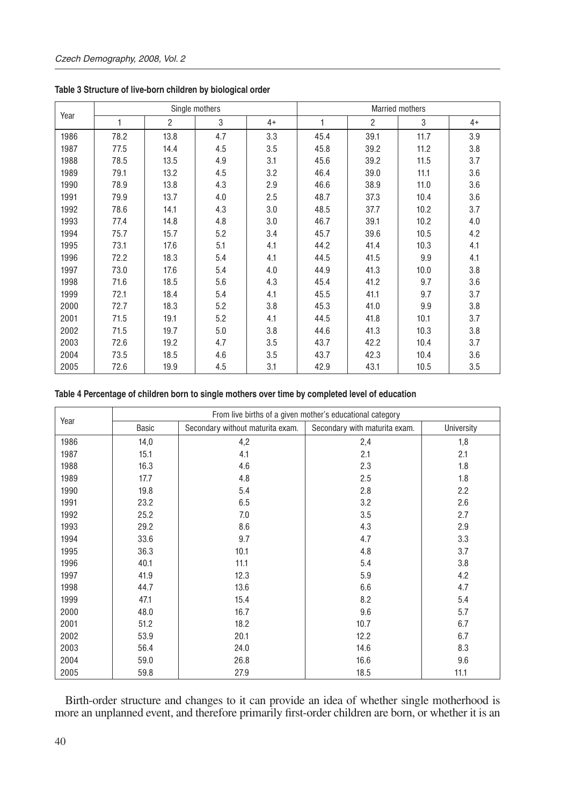|      |      |                | Single mothers |      | <b>Married mothers</b> |                |      |      |  |
|------|------|----------------|----------------|------|------------------------|----------------|------|------|--|
| Year | 1    | $\overline{2}$ | 3              | $4+$ | 1                      | $\overline{2}$ | 3    | $4+$ |  |
| 1986 | 78.2 | 13.8           | 4.7            | 3.3  | 45.4                   | 39.1           | 11.7 | 3.9  |  |
| 1987 | 77.5 | 14.4           | 4.5            | 3.5  | 45.8                   | 39.2           | 11.2 | 3.8  |  |
| 1988 | 78.5 | 13.5           | 4.9            | 3.1  | 45.6                   | 39.2           | 11.5 | 3.7  |  |
| 1989 | 79.1 | 13.2           | 4.5            | 3.2  | 46.4                   | 39.0           | 11.1 | 3.6  |  |
| 1990 | 78.9 | 13.8           | 4.3            | 2.9  | 46.6                   | 38.9           | 11.0 | 3.6  |  |
| 1991 | 79.9 | 13.7           | 4.0            | 2.5  | 48.7                   | 37.3           | 10.4 | 3.6  |  |
| 1992 | 78.6 | 14.1           | 4.3            | 3.0  | 48.5                   | 37.7           | 10.2 | 3.7  |  |
| 1993 | 77.4 | 14.8           | 4.8            | 3.0  | 46.7                   | 39.1           | 10.2 | 4.0  |  |
| 1994 | 75.7 | 15.7           | 5.2            | 3.4  | 45.7                   | 39.6           | 10.5 | 4.2  |  |
| 1995 | 73.1 | 17.6           | 5.1            | 4.1  | 44.2                   | 41.4           | 10.3 | 4.1  |  |
| 1996 | 72.2 | 18.3           | 5.4            | 4.1  | 44.5                   | 41.5           | 9.9  | 4.1  |  |
| 1997 | 73.0 | 17.6           | 5.4            | 4.0  | 44.9                   | 41.3           | 10.0 | 3.8  |  |
| 1998 | 71.6 | 18.5           | 5.6            | 4.3  | 45.4                   | 41.2           | 9.7  | 3.6  |  |
| 1999 | 72.1 | 18.4           | 5.4            | 4.1  | 45.5                   | 41.1           | 9.7  | 3.7  |  |
| 2000 | 72.7 | 18.3           | 5.2            | 3.8  | 45.3                   | 41.0           | 9.9  | 3.8  |  |
| 2001 | 71.5 | 19.1           | 5.2            | 4.1  | 44.5                   | 41.8           | 10.1 | 3.7  |  |
| 2002 | 71.5 | 19.7           | 5.0            | 3.8  | 44.6                   | 41.3           | 10.3 | 3.8  |  |
| 2003 | 72.6 | 19.2           | 4.7            | 3.5  | 43.7                   | 42.2           | 10.4 | 3.7  |  |
| 2004 | 73.5 | 18.5           | 4.6            | 3.5  | 43.7                   | 42.3           | 10.4 | 3.6  |  |
| 2005 | 72.6 | 19.9           | 4.5            | 3.1  | 42.9                   | 43.1           | 10.5 | 3.5  |  |

**Table 3 Structure of live-born children by biological order**

#### **Table 4 Percentage of children born to single mothers over time by completed level of education**

|      | From live births of a given mother's educational category |                                  |                               |            |  |  |  |  |
|------|-----------------------------------------------------------|----------------------------------|-------------------------------|------------|--|--|--|--|
| Year | Basic                                                     | Secondary without maturita exam. | Secondary with maturita exam. | University |  |  |  |  |
| 1986 | 14,0                                                      | 4,2                              | 2,4                           | 1,8        |  |  |  |  |
| 1987 | 15.1                                                      | 4.1                              | 2.1                           | 2.1        |  |  |  |  |
| 1988 | 16.3                                                      | 4.6                              | 2.3                           | 1.8        |  |  |  |  |
| 1989 | 17.7                                                      | 4.8                              | 2.5                           | 1.8        |  |  |  |  |
| 1990 | 19.8                                                      | 5.4                              | 2.8                           | 2.2        |  |  |  |  |
| 1991 | 23.2                                                      | 6.5                              | 3.2                           | 2.6        |  |  |  |  |
| 1992 | 25.2                                                      | 7.0                              | 3.5                           | 2.7        |  |  |  |  |
| 1993 | 29.2                                                      | 8.6                              | 4.3                           | 2.9        |  |  |  |  |
| 1994 | 33.6                                                      | 9.7                              | 4.7                           | 3.3        |  |  |  |  |
| 1995 | 36.3                                                      | 10.1                             | 4.8                           | 3.7        |  |  |  |  |
| 1996 | 40.1                                                      | 11.1                             | 5.4                           | 3.8        |  |  |  |  |
| 1997 | 41.9                                                      | 12.3                             | 5.9                           | 4.2        |  |  |  |  |
| 1998 | 44.7                                                      | 13.6                             | 6.6                           | 4.7        |  |  |  |  |
| 1999 | 47.1                                                      | 15.4                             | 8.2                           | 5.4        |  |  |  |  |
| 2000 | 48.0                                                      | 16.7                             | 9.6                           | 5.7        |  |  |  |  |
| 2001 | 51.2                                                      | 18.2                             | 10.7                          | 6.7        |  |  |  |  |
| 2002 | 53.9                                                      | 20.1                             | 12.2                          | 6.7        |  |  |  |  |
| 2003 | 56.4                                                      | 24.0                             | 14.6                          | 8.3        |  |  |  |  |
| 2004 | 59.0                                                      | 26.8                             | 16.6                          | 9.6        |  |  |  |  |
| 2005 | 59.8                                                      | 27.9                             | 18.5                          | 11.1       |  |  |  |  |

Birth-order structure and changes to it can provide an idea of whether single motherhood is more an unplanned event, and therefore primarily first-order children are born, or whether it is an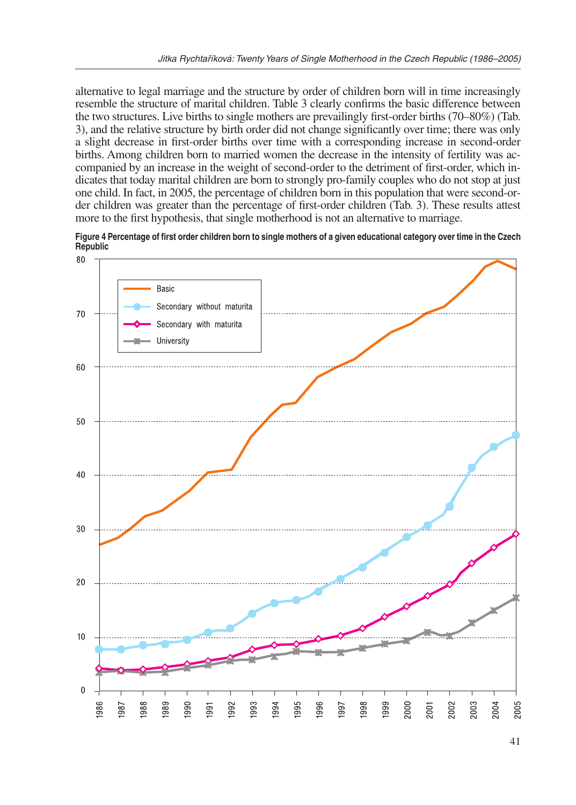alternative to legal marriage and the structure by order of children born will in time increasingly resemble the structure of marital children. Table 3 clearly confirms the basic difference between the two structures. Live births to single mothers are prevailingly first-order births (70–80%) (Tab. 3), and the relative structure by birth order did not change significantly over time; there was only a slight decrease in first-order births over time with a corresponding increase in second-order births. Among children born to married women the decrease in the intensity of fertility was accompanied by an increase in the weight of second-order to the detriment of first-order, which indicates that today marital children are born to strongly pro-family couples who do not stop at just one child. In fact, in 2005, the percentage of children born in this population that were second-order children was greater than the percentage of first-order children (Tab. 3). These results attest more to the first hypothesis, that single motherhood is not an alternative to marriage.



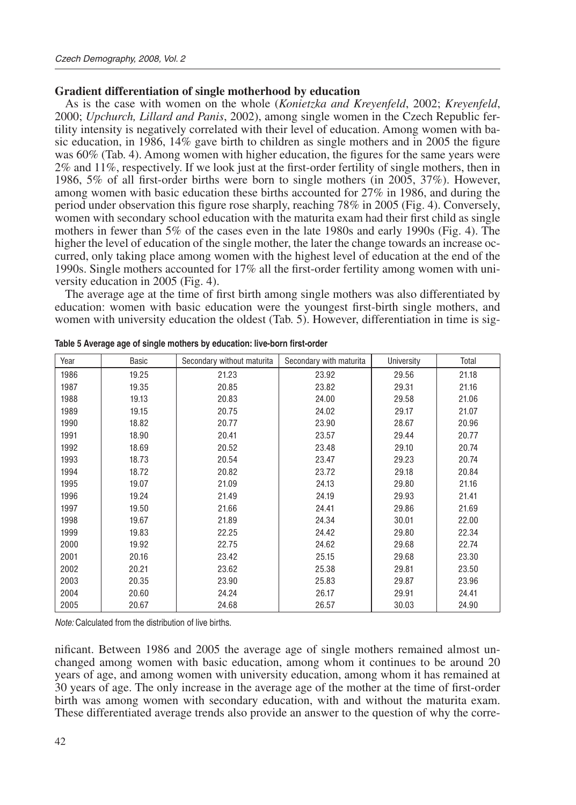### **Gradient differentiation of single motherhood by education**

As is the case with women on the whole (*Konietzka and Kreyenfeld*, 2002; *Kreyenfeld*, 2000; *Upchurch, Lillard and Panis*, 2002), among single women in the Czech Republic fertility intensity is negatively correlated with their level of education. Among women with basic education, in 1986, 14% gave birth to children as single mothers and in 2005 the figure was 60% (Tab. 4). Among women with higher education, the figures for the same years were 2% and 11%, respectively. If we look just at the first-order fertility of single mothers, then in 1986, 5% of all first-order births were born to single mothers (in 2005, 37%). However, among women with basic education these births accounted for 27% in 1986, and during the period under observation this figure rose sharply, reaching 78% in 2005 (Fig. 4). Conversely, women with secondary school education with the maturita exam had their first child as single mothers in fewer than 5% of the cases even in the late 1980s and early 1990s (Fig. 4). The higher the level of education of the single mother, the later the change towards an increase occurred, only taking place among women with the highest level of education at the end of the 1990s. Single mothers accounted for 17% all the first-order fertility among women with university education in 2005 (Fig. 4).

The average age at the time of first birth among single mothers was also differentiated by education: women with basic education were the youngest first-birth single mothers, and women with university education the oldest (Tab. 5). However, differentiation in time is sig-

| Year | Basic | Secondary without maturita | Secondary with maturita | University | Total |
|------|-------|----------------------------|-------------------------|------------|-------|
| 1986 | 19.25 | 21.23                      | 23.92                   | 29.56      | 21.18 |
| 1987 | 19.35 | 20.85                      | 23.82                   | 29.31      | 21.16 |
| 1988 | 19.13 | 20.83                      | 24.00                   | 29.58      | 21.06 |
| 1989 | 19.15 | 20.75                      | 24.02                   | 29.17      | 21.07 |
| 1990 | 18.82 | 20.77                      | 23.90                   | 28.67      | 20.96 |
| 1991 | 18.90 | 20.41                      | 23.57                   | 29.44      | 20.77 |
| 1992 | 18.69 | 20.52                      | 23.48                   | 29.10      | 20.74 |
| 1993 | 18.73 | 20.54                      | 23.47                   | 29.23      | 20.74 |
| 1994 | 18.72 | 20.82                      | 23.72                   | 29.18      | 20.84 |
| 1995 | 19.07 | 21.09                      | 24.13                   | 29.80      | 21.16 |
| 1996 | 19.24 | 21.49                      | 24.19                   | 29.93      | 21.41 |
| 1997 | 19.50 | 21.66                      | 24.41                   | 29.86      | 21.69 |
| 1998 | 19.67 | 21.89                      | 24.34                   | 30.01      | 22.00 |
| 1999 | 19.83 | 22.25                      | 24.42                   | 29.80      | 22.34 |
| 2000 | 19.92 | 22.75                      | 24.62                   | 29.68      | 22.74 |
| 2001 | 20.16 | 23.42                      | 25.15                   | 29.68      | 23.30 |
| 2002 | 20.21 | 23.62                      | 25.38                   | 29.81      | 23.50 |
| 2003 | 20.35 | 23.90                      | 25.83                   | 29.87      | 23.96 |
| 2004 | 20.60 | 24.24                      | 26.17                   | 29.91      | 24.41 |
| 2005 | 20.67 | 24.68                      | 26.57                   | 30.03      | 24.90 |

| Table 5 Average age of single mothers by education: live-born first-order |  |  |
|---------------------------------------------------------------------------|--|--|
|---------------------------------------------------------------------------|--|--|

*Note:* Calculated from the distribution of live births.

nificant. Between 1986 and 2005 the average age of single mothers remained almost unchanged among women with basic education, among whom it continues to be around 20 years of age, and among women with university education, among whom it has remained at 30 years of age. The only increase in the average age of the mother at the time of first-order birth was among women with secondary education, with and without the maturita exam. These differentiated average trends also provide an answer to the question of why the corre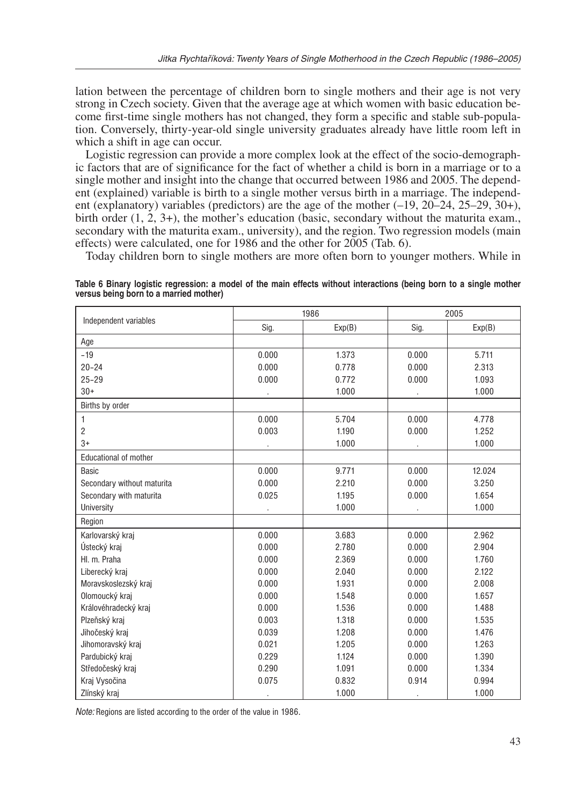lation between the percentage of children born to single mothers and their age is not very strong in Czech society. Given that the average age at which women with basic education become first-time single mothers has not changed, they form a specific and stable sub-population. Conversely, thirty-year-old single university graduates already have little room left in which a shift in age can occur.

Logistic regression can provide a more complex look at the effect of the socio-demographic factors that are of significance for the fact of whether a child is born in a marriage or to a single mother and insight into the change that occurred between 1986 and 2005. The dependent (explained) variable is birth to a single mother versus birth in a marriage. The independent (explanatory) variables (predictors) are the age of the mother  $(-19, 20-24, 25-29, 30+)$ , birth order  $(1, 2, 3+)$ , the mother's education (basic, secondary without the maturita exam., secondary with the maturita exam., university), and the region. Two regression models (main effects) were calculated, one for 1986 and the other for 2005 (Tab. 6).

Today children born to single mothers are more often born to younger mothers. While in

|  |  |                                        |  |  |  | Table 6 Binary logistic regression: a model of the main effects without interactions (being born to a single mother |  |  |  |
|--|--|----------------------------------------|--|--|--|---------------------------------------------------------------------------------------------------------------------|--|--|--|
|  |  | versus being born to a married mother) |  |  |  |                                                                                                                     |  |  |  |

|                              |       | 1986   | 2005  |        |  |  |
|------------------------------|-------|--------|-------|--------|--|--|
| Independent variables        | Sig.  | Exp(B) | Sig.  | Exp(B) |  |  |
| Age                          |       |        |       |        |  |  |
| $-19$                        | 0.000 | 1.373  | 0.000 | 5.711  |  |  |
| $20 - 24$                    | 0.000 | 0.778  | 0.000 | 2.313  |  |  |
| $25 - 29$                    | 0.000 | 0.772  | 0.000 | 1.093  |  |  |
| $30+$                        |       | 1.000  |       | 1.000  |  |  |
| Births by order              |       |        |       |        |  |  |
| 1                            | 0.000 | 5.704  | 0.000 | 4.778  |  |  |
| $\overline{c}$               | 0.003 | 1.190  | 0.000 | 1.252  |  |  |
| $3+$                         |       | 1.000  |       | 1.000  |  |  |
| <b>Educational of mother</b> |       |        |       |        |  |  |
| <b>Basic</b>                 | 0.000 | 9.771  | 0.000 | 12.024 |  |  |
| Secondary without maturita   | 0.000 | 2.210  | 0.000 | 3.250  |  |  |
| Secondary with maturita      | 0.025 | 1.195  | 0.000 | 1.654  |  |  |
| University                   |       | 1.000  |       | 1.000  |  |  |
| Region                       |       |        |       |        |  |  |
| Karlovarský kraj             | 0.000 | 3.683  | 0.000 | 2.962  |  |  |
| Ústecký kraj                 | 0.000 | 2.780  | 0.000 | 2.904  |  |  |
| HI. m. Praha                 | 0.000 | 2.369  | 0.000 | 1.760  |  |  |
| Liberecký kraj               | 0.000 | 2.040  | 0.000 | 2.122  |  |  |
| Moravskoslezský kraj         | 0.000 | 1.931  | 0.000 | 2.008  |  |  |
| Olomoucký kraj               | 0.000 | 1.548  | 0.000 | 1.657  |  |  |
| Královéhradecký kraj         | 0.000 | 1.536  | 0.000 | 1.488  |  |  |
| Plzeňský kraj                | 0.003 | 1.318  | 0.000 | 1.535  |  |  |
| Jihočeský kraj               | 0.039 | 1.208  | 0.000 | 1.476  |  |  |
| Jihomoravský kraj            | 0.021 | 1.205  | 0.000 | 1.263  |  |  |
| Pardubický kraj              | 0.229 | 1.124  | 0.000 | 1.390  |  |  |
| Středočeský kraj             | 0.290 | 1.091  | 0.000 | 1.334  |  |  |
| Kraj Vysočina                | 0.075 | 0.832  | 0.914 | 0.994  |  |  |
| Zlínský kraj                 |       | 1.000  |       | 1.000  |  |  |

*Note:* Regions are listed according to the order of the value in 1986.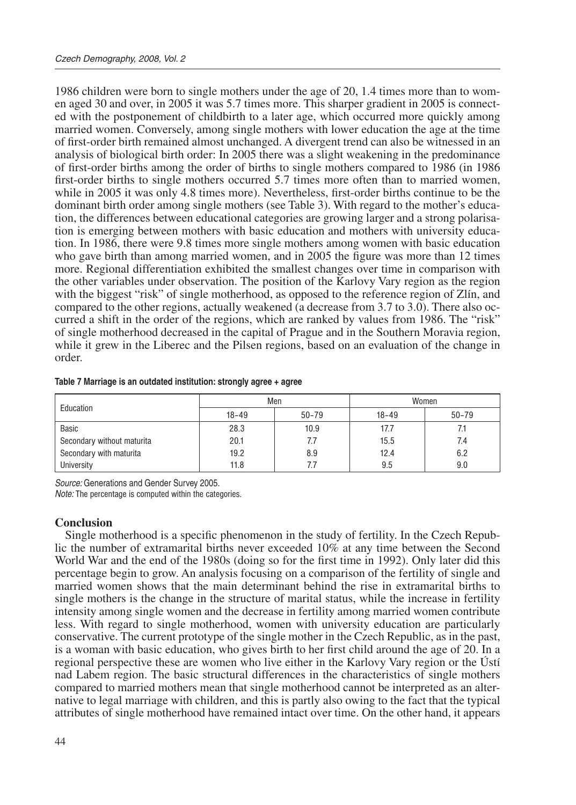1986 children were born to single mothers under the age of 20, 1.4 times more than to women aged 30 and over, in 2005 it was 5.7 times more. This sharper gradient in 2005 is connected with the postponement of childbirth to a later age, which occurred more quickly among married women. Conversely, among single mothers with lower education the age at the time of first-order birth remained almost unchanged. A divergent trend can also be witnessed in an analysis of biological birth order: In 2005 there was a slight weakening in the predominance of first-order births among the order of births to single mothers compared to 1986 (in 1986 first-order births to single mothers occurred 5.7 times more often than to married women, while in 2005 it was only 4.8 times more). Nevertheless, first-order births continue to be the dominant birth order among single mothers (see Table 3). With regard to the mother's education, the differences between educational categories are growing larger and a strong polarisation is emerging between mothers with basic education and mothers with university education. In 1986, there were 9.8 times more single mothers among women with basic education who gave birth than among married women, and in 2005 the figure was more than 12 times more. Regional differentiation exhibited the smallest changes over time in comparison with the other variables under observation. The position of the Karlovy Vary region as the region with the biggest "risk" of single motherhood, as opposed to the reference region of Zlín, and compared to the other regions, actually weakened (a decrease from 3.7 to 3.0). There also occurred a shift in the order of the regions, which are ranked by values from 1986. The "risk" of single motherhood decreased in the capital of Prague and in the Southern Moravia region, while it grew in the Liberec and the Pilsen regions, based on an evaluation of the change in order.

| Education                  |           | Men       | Women     |           |  |  |
|----------------------------|-----------|-----------|-----------|-----------|--|--|
|                            | $18 - 49$ | $50 - 79$ | $18 - 49$ | $50 - 79$ |  |  |
| Basic                      | 28.3      | 10.9      | 17.7      | 7.1       |  |  |
| Secondary without maturita | 20.1      | 7.7       | 15.5      | 7.4       |  |  |
| Secondary with maturita    | 19.2      | 8.9       | 12.4      | 6.2       |  |  |
| University                 | 11.8      | 7.7       | 9.5       | 9.0       |  |  |

#### **Table 7 Marriage is an outdated institution: strongly agree + agree**

*Source:* Generations and Gender Survey 2005.

*Note:* The percentage is computed within the categories.

#### **Conclusion**

Single motherhood is a specific phenomenon in the study of fertility. In the Czech Republic the number of extramarital births never exceeded 10% at any time between the Second World War and the end of the 1980s (doing so for the first time in 1992). Only later did this percentage begin to grow. An analysis focusing on a comparison of the fertility of single and married women shows that the main determinant behind the rise in extramarital births to single mothers is the change in the structure of marital status, while the increase in fertility intensity among single women and the decrease in fertility among married women contribute less. With regard to single motherhood, women with university education are particularly conservative. The current prototype of the single mother in the Czech Republic, as in the past, is a woman with basic education, who gives birth to her first child around the age of 20. In a regional perspective these are women who live either in the Karlovy Vary region or the Ústí nad Labem region. The basic structural differences in the characteristics of single mothers compared to married mothers mean that single motherhood cannot be interpreted as an alternative to legal marriage with children, and this is partly also owing to the fact that the typical attributes of single motherhood have remained intact over time. On the other hand, it appears